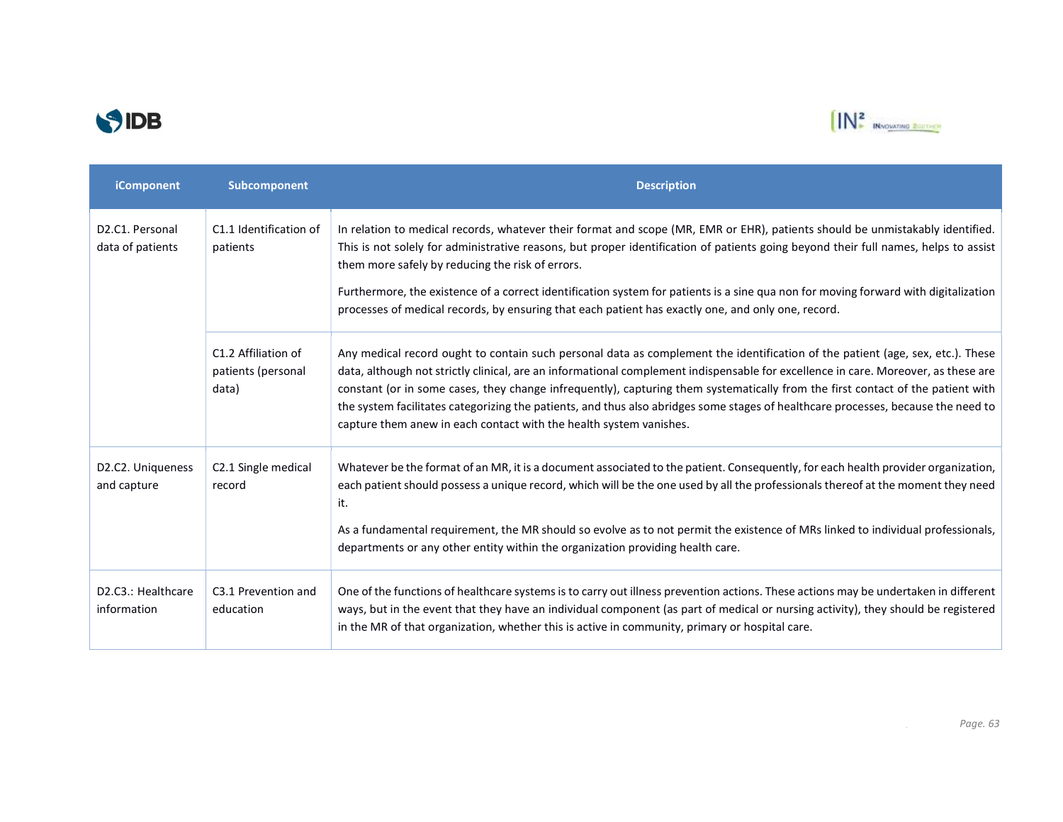



| iComponent                                                    | Subcomponent                                       | <b>Description</b>                                                                                                                                                                                                                                                                                                                                                                                                                                                                                                                                                                                                 |
|---------------------------------------------------------------|----------------------------------------------------|--------------------------------------------------------------------------------------------------------------------------------------------------------------------------------------------------------------------------------------------------------------------------------------------------------------------------------------------------------------------------------------------------------------------------------------------------------------------------------------------------------------------------------------------------------------------------------------------------------------------|
| D <sub>2</sub> .C <sub>1</sub> . Personal<br>data of patients | C1.1 Identification of<br>patients                 | In relation to medical records, whatever their format and scope (MR, EMR or EHR), patients should be unmistakably identified.<br>This is not solely for administrative reasons, but proper identification of patients going beyond their full names, helps to assist<br>them more safely by reducing the risk of errors.<br>Furthermore, the existence of a correct identification system for patients is a sine qua non for moving forward with digitalization<br>processes of medical records, by ensuring that each patient has exactly one, and only one, record.                                              |
|                                                               | C1.2 Affiliation of<br>patients (personal<br>data) | Any medical record ought to contain such personal data as complement the identification of the patient (age, sex, etc.). These<br>data, although not strictly clinical, are an informational complement indispensable for excellence in care. Moreover, as these are<br>constant (or in some cases, they change infrequently), capturing them systematically from the first contact of the patient with<br>the system facilitates categorizing the patients, and thus also abridges some stages of healthcare processes, because the need to<br>capture them anew in each contact with the health system vanishes. |
| D <sub>2</sub> .C <sub>2</sub> . Uniqueness<br>and capture    | C2.1 Single medical<br>record                      | Whatever be the format of an MR, it is a document associated to the patient. Consequently, for each health provider organization,<br>each patient should possess a unique record, which will be the one used by all the professionals thereof at the moment they need<br>it.<br>As a fundamental requirement, the MR should so evolve as to not permit the existence of MRs linked to individual professionals,<br>departments or any other entity within the organization providing health care.                                                                                                                  |
| D2.C3.: Healthcare<br>information                             | C3.1 Prevention and<br>education                   | One of the functions of healthcare systems is to carry out illness prevention actions. These actions may be undertaken in different<br>ways, but in the event that they have an individual component (as part of medical or nursing activity), they should be registered<br>in the MR of that organization, whether this is active in community, primary or hospital care.                                                                                                                                                                                                                                         |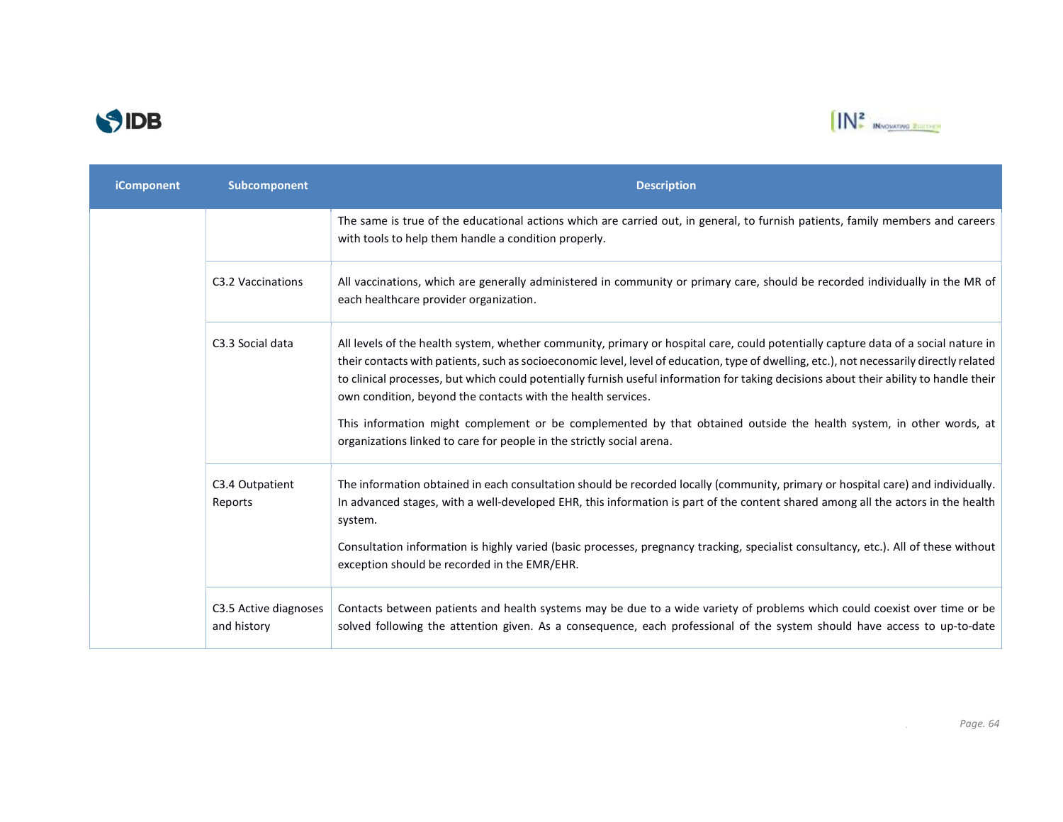



| <b>iComponent</b> | Subcomponent                         | <b>Description</b>                                                                                                                                                                                                                                                                                                                                                                                                                                                                                                                                                                                                                                                                       |
|-------------------|--------------------------------------|------------------------------------------------------------------------------------------------------------------------------------------------------------------------------------------------------------------------------------------------------------------------------------------------------------------------------------------------------------------------------------------------------------------------------------------------------------------------------------------------------------------------------------------------------------------------------------------------------------------------------------------------------------------------------------------|
|                   |                                      | The same is true of the educational actions which are carried out, in general, to furnish patients, family members and careers<br>with tools to help them handle a condition properly.                                                                                                                                                                                                                                                                                                                                                                                                                                                                                                   |
|                   | C3.2 Vaccinations                    | All vaccinations, which are generally administered in community or primary care, should be recorded individually in the MR of<br>each healthcare provider organization.                                                                                                                                                                                                                                                                                                                                                                                                                                                                                                                  |
|                   | C3.3 Social data                     | All levels of the health system, whether community, primary or hospital care, could potentially capture data of a social nature in<br>their contacts with patients, such as socioeconomic level, level of education, type of dwelling, etc.), not necessarily directly related<br>to clinical processes, but which could potentially furnish useful information for taking decisions about their ability to handle their<br>own condition, beyond the contacts with the health services.<br>This information might complement or be complemented by that obtained outside the health system, in other words, at<br>organizations linked to care for people in the strictly social arena. |
|                   | C3.4 Outpatient<br>Reports           | The information obtained in each consultation should be recorded locally (community, primary or hospital care) and individually.<br>In advanced stages, with a well-developed EHR, this information is part of the content shared among all the actors in the health<br>system.<br>Consultation information is highly varied (basic processes, pregnancy tracking, specialist consultancy, etc.). All of these without<br>exception should be recorded in the EMR/EHR.                                                                                                                                                                                                                   |
|                   | C3.5 Active diagnoses<br>and history | Contacts between patients and health systems may be due to a wide variety of problems which could coexist over time or be<br>solved following the attention given. As a consequence, each professional of the system should have access to up-to-date                                                                                                                                                                                                                                                                                                                                                                                                                                    |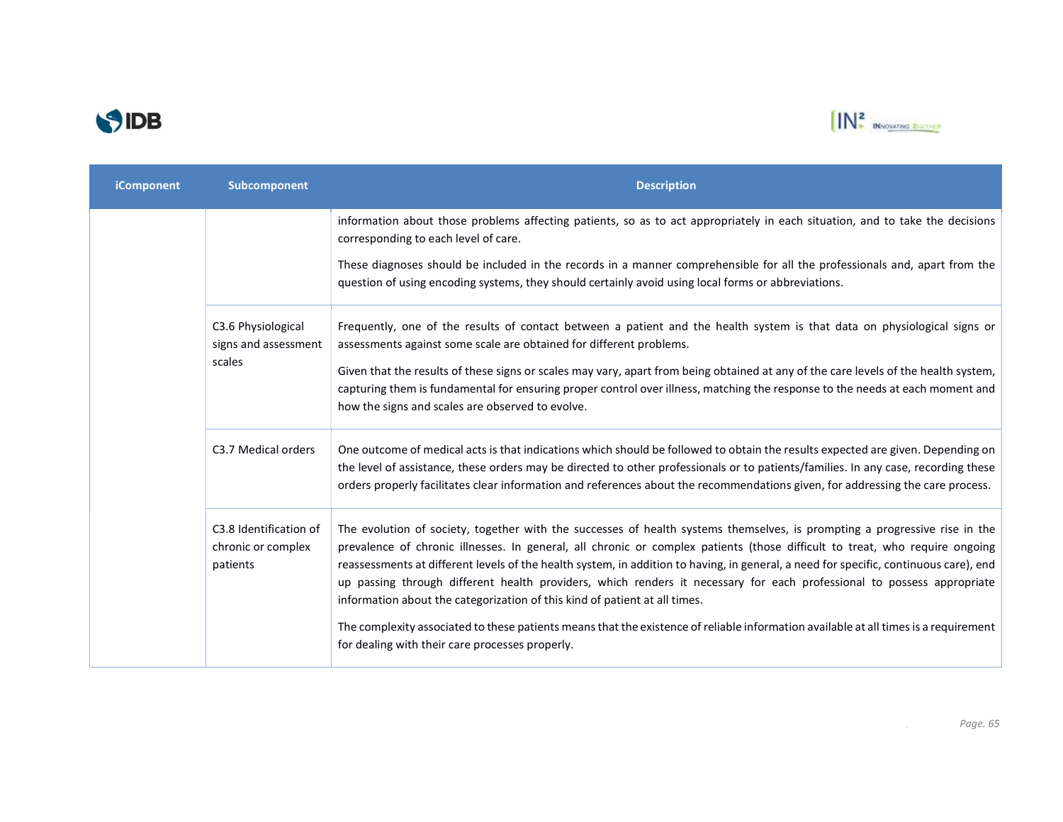



| <b>iComponent</b> | Subcomponent                                             | <b>Description</b>                                                                                                                                                                                                                                                                                                                                                                                                                                                                                                                                                                                         |
|-------------------|----------------------------------------------------------|------------------------------------------------------------------------------------------------------------------------------------------------------------------------------------------------------------------------------------------------------------------------------------------------------------------------------------------------------------------------------------------------------------------------------------------------------------------------------------------------------------------------------------------------------------------------------------------------------------|
|                   |                                                          | information about those problems affecting patients, so as to act appropriately in each situation, and to take the decisions<br>corresponding to each level of care.                                                                                                                                                                                                                                                                                                                                                                                                                                       |
|                   |                                                          | These diagnoses should be included in the records in a manner comprehensible for all the professionals and, apart from the<br>question of using encoding systems, they should certainly avoid using local forms or abbreviations.                                                                                                                                                                                                                                                                                                                                                                          |
|                   | C3.6 Physiological<br>signs and assessment               | Frequently, one of the results of contact between a patient and the health system is that data on physiological signs or<br>assessments against some scale are obtained for different problems.                                                                                                                                                                                                                                                                                                                                                                                                            |
|                   | scales                                                   | Given that the results of these signs or scales may vary, apart from being obtained at any of the care levels of the health system,<br>capturing them is fundamental for ensuring proper control over illness, matching the response to the needs at each moment and<br>how the signs and scales are observed to evolve.                                                                                                                                                                                                                                                                                   |
|                   | C3.7 Medical orders                                      | One outcome of medical acts is that indications which should be followed to obtain the results expected are given. Depending on<br>the level of assistance, these orders may be directed to other professionals or to patients/families. In any case, recording these<br>orders properly facilitates clear information and references about the recommendations given, for addressing the care process.                                                                                                                                                                                                    |
|                   | C3.8 Identification of<br>chronic or complex<br>patients | The evolution of society, together with the successes of health systems themselves, is prompting a progressive rise in the<br>prevalence of chronic illnesses. In general, all chronic or complex patients (those difficult to treat, who require ongoing<br>reassessments at different levels of the health system, in addition to having, in general, a need for specific, continuous care), end<br>up passing through different health providers, which renders it necessary for each professional to possess appropriate<br>information about the categorization of this kind of patient at all times. |
|                   |                                                          | The complexity associated to these patients means that the existence of reliable information available at all times is a requirement<br>for dealing with their care processes properly.                                                                                                                                                                                                                                                                                                                                                                                                                    |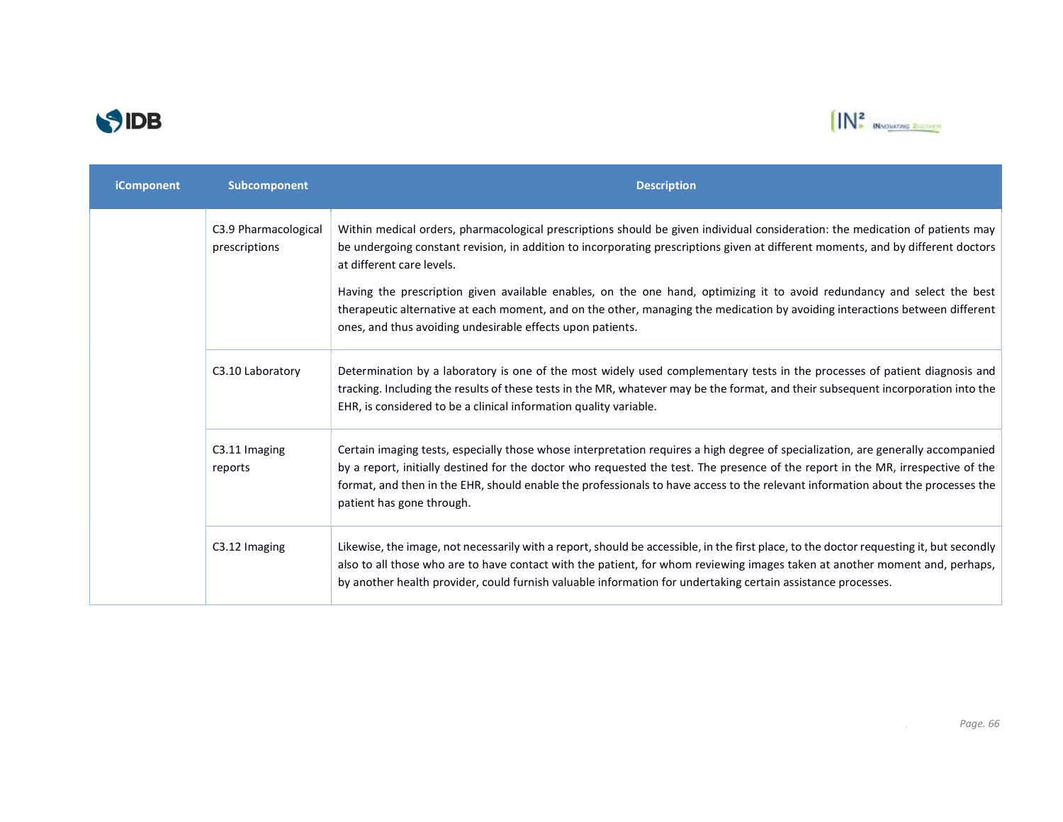



| iComponent | Subcomponent                          | <b>Description</b>                                                                                                                                                                                                                                                                                                                                                                                                                                                                                                                                                                                                      |
|------------|---------------------------------------|-------------------------------------------------------------------------------------------------------------------------------------------------------------------------------------------------------------------------------------------------------------------------------------------------------------------------------------------------------------------------------------------------------------------------------------------------------------------------------------------------------------------------------------------------------------------------------------------------------------------------|
|            | C3.9 Pharmacological<br>prescriptions | Within medical orders, pharmacological prescriptions should be given individual consideration: the medication of patients may<br>be undergoing constant revision, in addition to incorporating prescriptions given at different moments, and by different doctors<br>at different care levels.<br>Having the prescription given available enables, on the one hand, optimizing it to avoid redundancy and select the best<br>therapeutic alternative at each moment, and on the other, managing the medication by avoiding interactions between different<br>ones, and thus avoiding undesirable effects upon patients. |
|            | C3.10 Laboratory                      | Determination by a laboratory is one of the most widely used complementary tests in the processes of patient diagnosis and<br>tracking. Including the results of these tests in the MR, whatever may be the format, and their subsequent incorporation into the<br>EHR, is considered to be a clinical information quality variable.                                                                                                                                                                                                                                                                                    |
|            | C3.11 Imaging<br>reports              | Certain imaging tests, especially those whose interpretation requires a high degree of specialization, are generally accompanied<br>by a report, initially destined for the doctor who requested the test. The presence of the report in the MR, irrespective of the<br>format, and then in the EHR, should enable the professionals to have access to the relevant information about the processes the<br>patient has gone through.                                                                                                                                                                                    |
|            | C3.12 Imaging                         | Likewise, the image, not necessarily with a report, should be accessible, in the first place, to the doctor requesting it, but secondly<br>also to all those who are to have contact with the patient, for whom reviewing images taken at another moment and, perhaps,<br>by another health provider, could furnish valuable information for undertaking certain assistance processes.                                                                                                                                                                                                                                  |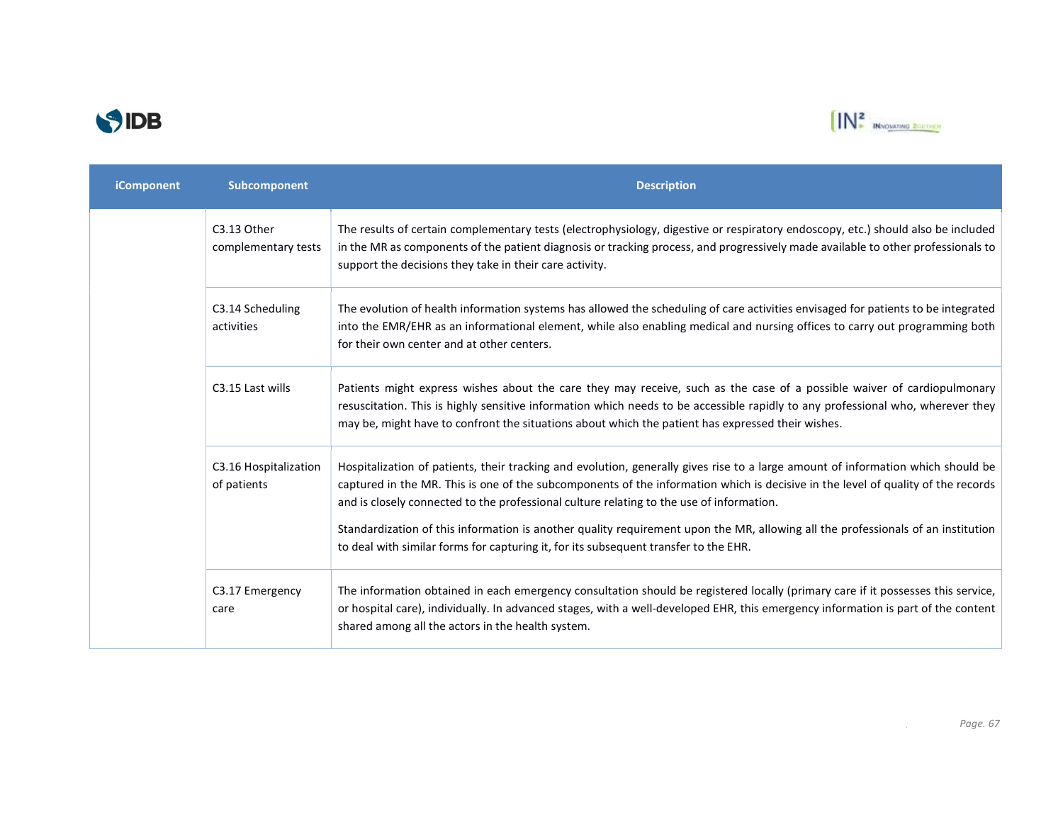



| iComponent | Subcomponent                         | <b>Description</b>                                                                                                                                                                                                                                                                                                                                                                                                                                                                                                                                                                           |
|------------|--------------------------------------|----------------------------------------------------------------------------------------------------------------------------------------------------------------------------------------------------------------------------------------------------------------------------------------------------------------------------------------------------------------------------------------------------------------------------------------------------------------------------------------------------------------------------------------------------------------------------------------------|
|            | C3.13 Other<br>complementary tests   | The results of certain complementary tests (electrophysiology, digestive or respiratory endoscopy, etc.) should also be included<br>in the MR as components of the patient diagnosis or tracking process, and progressively made available to other professionals to<br>support the decisions they take in their care activity.                                                                                                                                                                                                                                                              |
|            | C3.14 Scheduling<br>activities       | The evolution of health information systems has allowed the scheduling of care activities envisaged for patients to be integrated<br>into the EMR/EHR as an informational element, while also enabling medical and nursing offices to carry out programming both<br>for their own center and at other centers.                                                                                                                                                                                                                                                                               |
|            | C3.15 Last wills                     | Patients might express wishes about the care they may receive, such as the case of a possible waiver of cardiopulmonary<br>resuscitation. This is highly sensitive information which needs to be accessible rapidly to any professional who, wherever they<br>may be, might have to confront the situations about which the patient has expressed their wishes.                                                                                                                                                                                                                              |
|            | C3.16 Hospitalization<br>of patients | Hospitalization of patients, their tracking and evolution, generally gives rise to a large amount of information which should be<br>captured in the MR. This is one of the subcomponents of the information which is decisive in the level of quality of the records<br>and is closely connected to the professional culture relating to the use of information.<br>Standardization of this information is another quality requirement upon the MR, allowing all the professionals of an institution<br>to deal with similar forms for capturing it, for its subsequent transfer to the EHR. |
|            | C3.17 Emergency<br>care              | The information obtained in each emergency consultation should be registered locally (primary care if it possesses this service,<br>or hospital care), individually. In advanced stages, with a well-developed EHR, this emergency information is part of the content<br>shared among all the actors in the health system.                                                                                                                                                                                                                                                                   |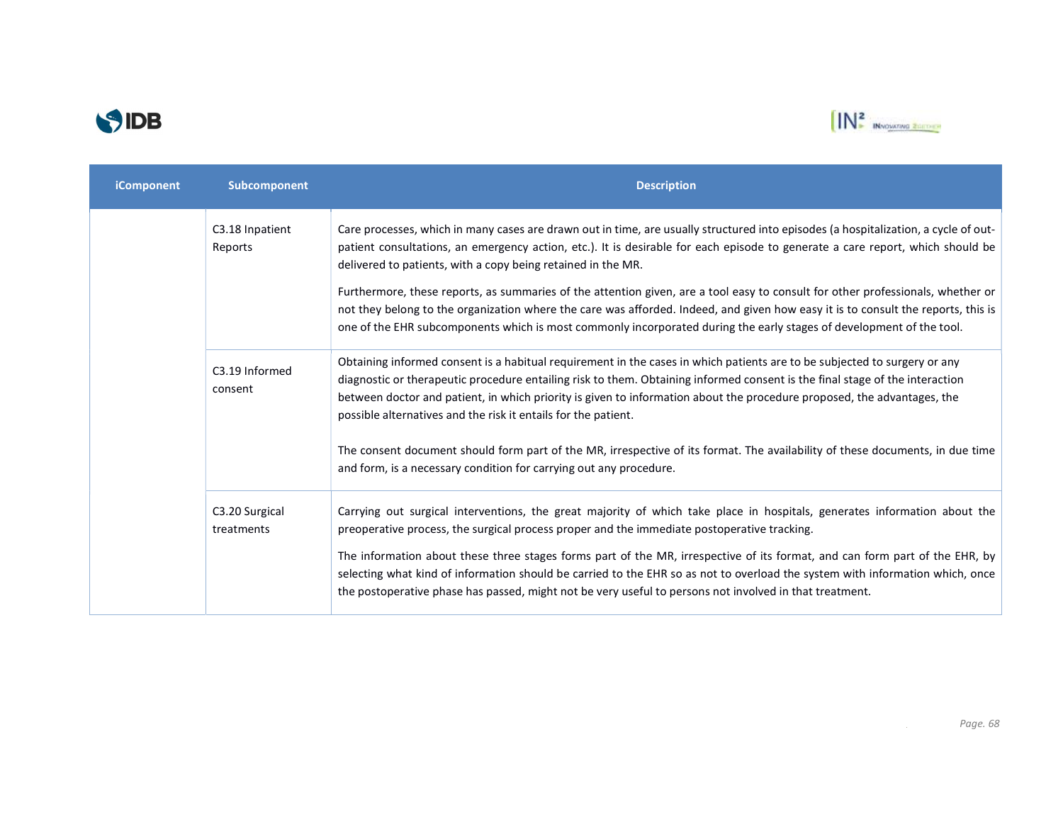



| iComponent | Subcomponent                 | <b>Description</b>                                                                                                                                                                                                                                                                                                                                                                                                                                                                                                                                                                                                                                                                                                                    |
|------------|------------------------------|---------------------------------------------------------------------------------------------------------------------------------------------------------------------------------------------------------------------------------------------------------------------------------------------------------------------------------------------------------------------------------------------------------------------------------------------------------------------------------------------------------------------------------------------------------------------------------------------------------------------------------------------------------------------------------------------------------------------------------------|
|            | C3.18 Inpatient<br>Reports   | Care processes, which in many cases are drawn out in time, are usually structured into episodes (a hospitalization, a cycle of out-<br>patient consultations, an emergency action, etc.). It is desirable for each episode to generate a care report, which should be<br>delivered to patients, with a copy being retained in the MR.<br>Furthermore, these reports, as summaries of the attention given, are a tool easy to consult for other professionals, whether or<br>not they belong to the organization where the care was afforded. Indeed, and given how easy it is to consult the reports, this is<br>one of the EHR subcomponents which is most commonly incorporated during the early stages of development of the tool. |
|            | C3.19 Informed<br>consent    | Obtaining informed consent is a habitual requirement in the cases in which patients are to be subjected to surgery or any<br>diagnostic or therapeutic procedure entailing risk to them. Obtaining informed consent is the final stage of the interaction<br>between doctor and patient, in which priority is given to information about the procedure proposed, the advantages, the<br>possible alternatives and the risk it entails for the patient.<br>The consent document should form part of the MR, irrespective of its format. The availability of these documents, in due time<br>and form, is a necessary condition for carrying out any procedure.                                                                         |
|            | C3.20 Surgical<br>treatments | Carrying out surgical interventions, the great majority of which take place in hospitals, generates information about the<br>preoperative process, the surgical process proper and the immediate postoperative tracking.<br>The information about these three stages forms part of the MR, irrespective of its format, and can form part of the EHR, by<br>selecting what kind of information should be carried to the EHR so as not to overload the system with information which, once<br>the postoperative phase has passed, might not be very useful to persons not involved in that treatment.                                                                                                                                   |